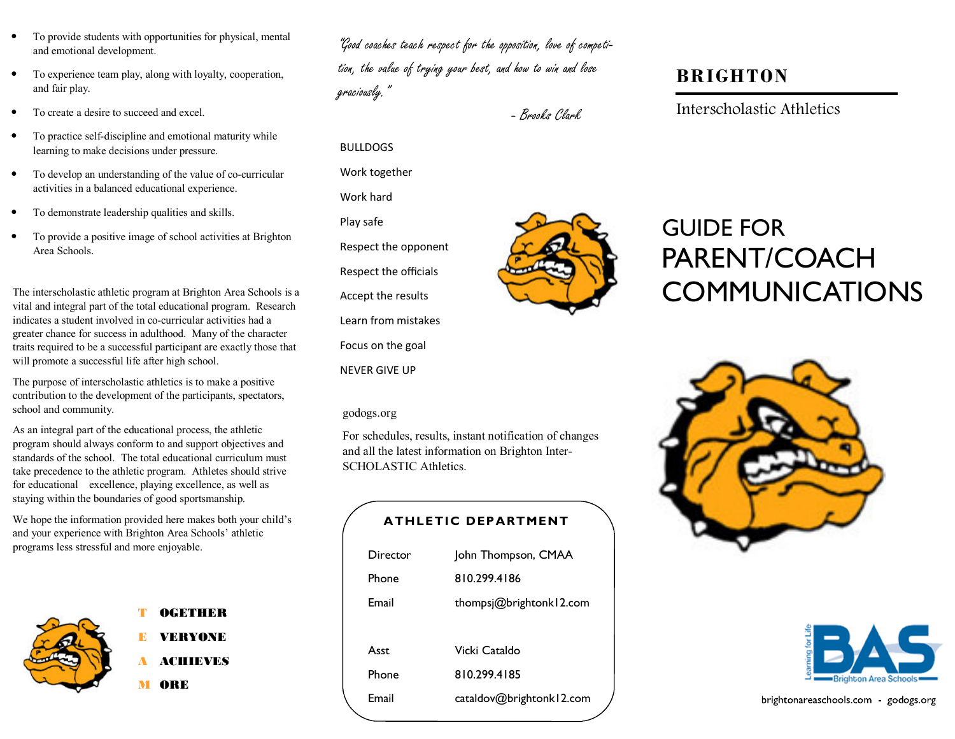- To provide students with opportunities for physical, mental and emotional development.
- To experience team play, along with loyalty, cooperation, and fair play.
- To create a desire to succeed and excel.
- To practice self-discipline and emotional maturity while learning to make decisions under pressure.
- To develop an understanding of the value of co-curricular activities in a balanced educational experience.
- To demonstrate leadership qualities and skills.
- To provide a positive image of school activities at Brighton Area Schools.

The interscholastic athletic program at Brighton Area Schools is a vital and integral part of the total educational program. Research indicates a student involved in co-curricular activities had a greater chance for success in adulthood. Many of the character traits required to be a successful participant are exactly those that will promote a successful life after high school.

The purpose of interscholastic athletics is to make a positive contribution to the development of the participants, spectators, school and community.

As an integral part of the educational process, the athletic program should always conform to and support objectives and standards of the school. The total educational curriculum must take precedence to the athletic program. Athletes should strive for educational excellence, playing excellence, as well as staying within the boundaries of good sportsmanship.

We hope the information provided here makes both your child's and your experience with Brighton Area Schools' athletic programs less stressful and more enjoyable.



### OGETHER

E VERYONE

A ACHIEVES

M ORE

"Good coaches teach respect for the opposition, love of competition, the value of trying your best, and how to win and lose graciously."

BULLDOGS

Work hard

Play safe

Work together

Respect the opponent

Respect the officials

Accept the results

Focus on the goal

NEVER GIVE UP

godogs.org

Learn from mistakes

SCHOLASTIC Athletics.

ATHLETIC DEPARTMENT

Director John Thompson, CMAA

Email thompsj@brightonk12.com

Email cataldov@brightonk12.com

Phone 810.299.4186

Asst Vicki Cataldo Phone 810.299.4185

For schedules, results, instant notification of changes and all the latest information on Brighton Inter-

- Brooks Clark

## BRIGHTON

Interscholastic Athletics



# GUIDE FOR PARENT/COACH COMMUNICATIONS





| brightonareaschools.com - godogs.org |  |  |
|--------------------------------------|--|--|
|--------------------------------------|--|--|